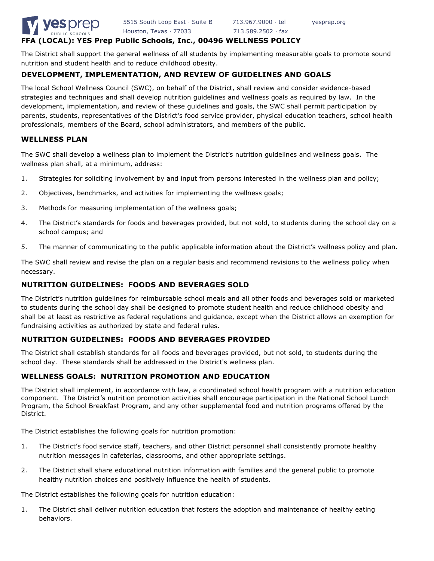

# **FFA (LOCAL): YES Prep Public Schools, Inc., 00496 WELLNESS POLICY**

The District shall support the general wellness of all students by implementing measurable goals to promote sound nutrition and student health and to reduce childhood obesity.

# **DEVELOPMENT, IMPLEMENTATION, AND REVIEW OF GUIDELINES AND GOALS**

The local School Wellness Council (SWC), on behalf of the District, shall review and consider evidence-based strategies and techniques and shall develop nutrition guidelines and wellness goals as required by law. In the development, implementation, and review of these guidelines and goals, the SWC shall permit participation by parents, students, representatives of the District's food service provider, physical education teachers, school health professionals, members of the Board, school administrators, and members of the public.

### **WELLNESS PLAN**

The SWC shall develop a wellness plan to implement the District's nutrition guidelines and wellness goals. The wellness plan shall, at a minimum, address:

- 1. Strategies for soliciting involvement by and input from persons interested in the wellness plan and policy;
- 2. Objectives, benchmarks, and activities for implementing the wellness goals;
- 3. Methods for measuring implementation of the wellness goals;
- 4. The District's standards for foods and beverages provided, but not sold, to students during the school day on a school campus; and
- 5. The manner of communicating to the public applicable information about the District's wellness policy and plan.

The SWC shall review and revise the plan on a regular basis and recommend revisions to the wellness policy when necessary.

# **NUTRITION GUIDELINES: FOODS AND BEVERAGES SOLD**

The District's nutrition guidelines for reimbursable school meals and all other foods and beverages sold or marketed to students during the school day shall be designed to promote student health and reduce childhood obesity and shall be at least as restrictive as federal regulations and guidance, except when the District allows an exemption for fundraising activities as authorized by state and federal rules.

## **NUTRITION GUIDELINES: FOODS AND BEVERAGES PROVIDED**

The District shall establish standards for all foods and beverages provided, but not sold, to students during the school day. These standards shall be addressed in the District's wellness plan.

## **WELLNESS GOALS: NUTRITION PROMOTION AND EDUCATION**

The District shall implement, in accordance with law, a coordinated school health program with a nutrition education component. The District's nutrition promotion activities shall encourage participation in the National School Lunch Program, the School Breakfast Program, and any other supplemental food and nutrition programs offered by the District.

The District establishes the following goals for nutrition promotion:

- 1. The District's food service staff, teachers, and other District personnel shall consistently promote healthy nutrition messages in cafeterias, classrooms, and other appropriate settings.
- 2. The District shall share educational nutrition information with families and the general public to promote healthy nutrition choices and positively influence the health of students.

The District establishes the following goals for nutrition education:

1. The District shall deliver nutrition education that fosters the adoption and maintenance of healthy eating behaviors.